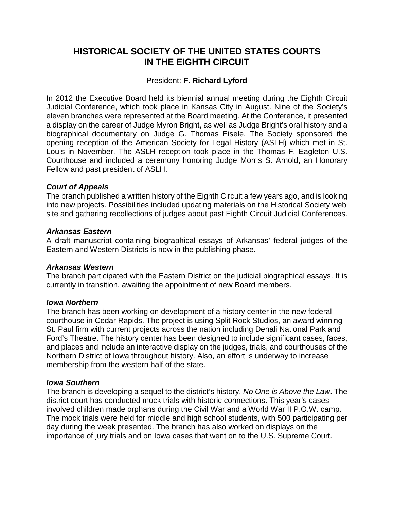# **HISTORICAL SOCIETY OF THE UNITED STATES COURTS IN THE EIGHTH CIRCUIT**

# President: **F. Richard Lyford**

In 2012 the Executive Board held its biennial annual meeting during the Eighth Circuit Judicial Conference, which took place in Kansas City in August. Nine of the Society's eleven branches were represented at the Board meeting. At the Conference, it presented a display on the career of Judge Myron Bright, as well as Judge Bright's oral history and a biographical documentary on Judge G. Thomas Eisele. The Society sponsored the opening reception of the American Society for Legal History (ASLH) which met in St. Louis in November. The ASLH reception took place in the Thomas F. Eagleton U.S. Courthouse and included a ceremony honoring Judge Morris S. Arnold, an Honorary Fellow and past president of ASLH.

## *Court of Appeals*

The branch published a written history of the Eighth Circuit a few years ago, and is looking into new projects. Possibilities included updating materials on the Historical Society web site and gathering recollections of judges about past Eighth Circuit Judicial Conferences.

## *Arkansas Eastern*

A draft manuscript containing biographical essays of Arkansas' federal judges of the Eastern and Western Districts is now in the publishing phase.

#### *Arkansas Western*

The branch participated with the Eastern District on the judicial biographical essays. It is currently in transition, awaiting the appointment of new Board members.

#### *Iowa Northern*

The branch has been working on development of a history center in the new federal courthouse in Cedar Rapids. The project is using Split Rock Studios, an award winning St. Paul firm with current projects across the nation including Denali National Park and Ford's Theatre. The history center has been designed to include significant cases, faces, and places and include an interactive display on the judges, trials, and courthouses of the Northern District of Iowa throughout history. Also, an effort is underway to increase membership from the western half of the state.

#### *Iowa Southern*

The branch is developing a sequel to the district's history, *No One is Above the Law*. The district court has conducted mock trials with historic connections. This year's cases involved children made orphans during the Civil War and a World War II P.O.W. camp. The mock trials were held for middle and high school students, with 500 participating per day during the week presented. The branch has also worked on displays on the importance of jury trials and on Iowa cases that went on to the U.S. Supreme Court.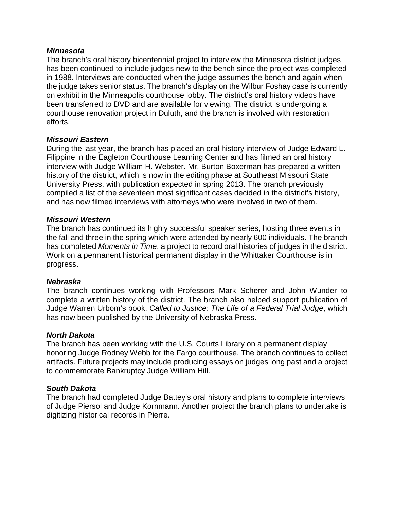## *Minnesota*

The branch's oral history bicentennial project to interview the Minnesota district judges has been continued to include judges new to the bench since the project was completed in 1988. Interviews are conducted when the judge assumes the bench and again when the judge takes senior status. The branch's display on the Wilbur Foshay case is currently on exhibit in the Minneapolis courthouse lobby. The district's oral history videos have been transferred to DVD and are available for viewing. The district is undergoing a courthouse renovation project in Duluth, and the branch is involved with restoration efforts.

## *Missouri Eastern*

During the last year, the branch has placed an oral history interview of Judge Edward L. Filippine in the Eagleton Courthouse Learning Center and has filmed an oral history interview with Judge William H. Webster. Mr. Burton Boxerman has prepared a written history of the district, which is now in the editing phase at Southeast Missouri State University Press, with publication expected in spring 2013. The branch previously compiled a list of the seventeen most significant cases decided in the district's history, and has now filmed interviews with attorneys who were involved in two of them.

## *Missouri Western*

The branch has continued its highly successful speaker series, hosting three events in the fall and three in the spring which were attended by nearly 600 individuals. The branch has completed *Moments in Time*, a project to record oral histories of judges in the district. Work on a permanent historical permanent display in the Whittaker Courthouse is in progress.

#### *Nebraska*

The branch continues working with Professors Mark Scherer and John Wunder to complete a written history of the district. The branch also helped support publication of Judge Warren Urbom's book, *Called to Justice: The Life of a Federal Trial Judge*, which has now been published by the University of Nebraska Press.

#### *North Dakota*

The branch has been working with the U.S. Courts Library on a permanent display honoring Judge Rodney Webb for the Fargo courthouse. The branch continues to collect artifacts. Future projects may include producing essays on judges long past and a project to commemorate Bankruptcy Judge William Hill.

#### *South Dakota*

The branch had completed Judge Battey's oral history and plans to complete interviews of Judge Piersol and Judge Kornmann. Another project the branch plans to undertake is digitizing historical records in Pierre.